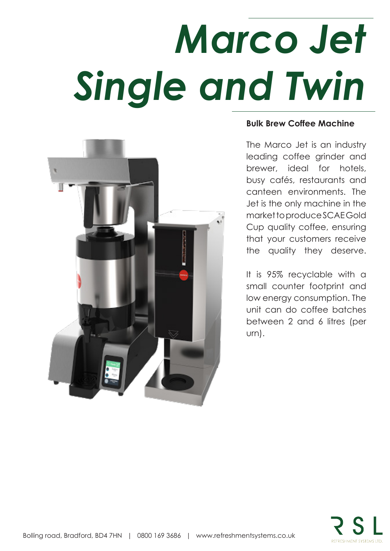## *Marco Jet Single and Twin*



### **Bulk Brew Coffee Machine**

The Marco Jet is an industry leading coffee grinder and brewer, ideal for hotels, busy cafés, restaurants and canteen environments. The Jet is the only machine in the market to produce SCAE Gold Cup quality coffee, ensuring that your customers receive the quality they deserve.

It is 95% recyclable with a small counter footprint and low energy consumption. The unit can do coffee batches between 2 and 6 litres (per urn).

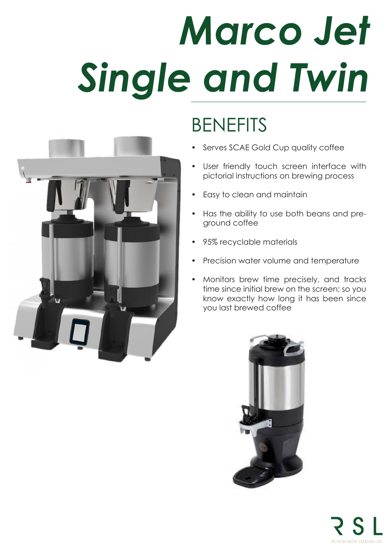# *Marco Jet Single and Twin*

## BENEFITS

- Serves SCAE Gold Cup quality coffee
- User friendly touch screen interface with pictorial instructions on brewing process
- Easy to clean and maintain
- Has the ability to use both beans and preground coffee
- 95% recyclable materials
- Precision water volume and temperature
- Monitors brew time precisely, and tracks time since initial brew on the screen; so you know exactly how long it has been since you last brewed coffee





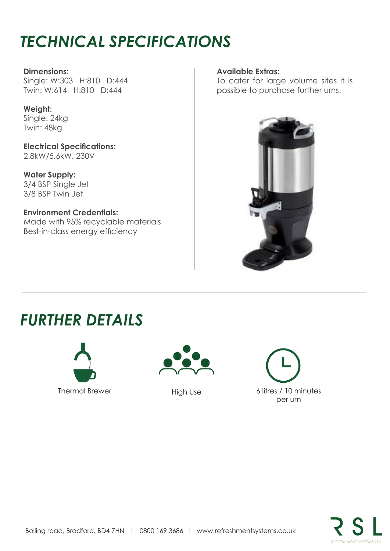## *TECHNICAL SPECIFICATIONS*

#### **Dimensions:**

Single: W:303 H:810 D:444 Twin: W:614 H:810 D:444

### **Weight:**

Single: 24kg Twin: 48kg

**Electrical Specifications:** 2.8kW/5.6kW, 230V

**Water Supply:** 3/4 BSP Single Jet 3/8 BSP Twin Jet

**Environment Credentials:** Made with 95% recyclable materials Best-in-class energy efficiency

#### **Available Extras:**

To cater for large volume sites it is possible to purchase further urns.



## *FURTHER DETAILS*





High Use

Thermal Brewer Fight High High High Mess 6 litres / 10 minutes per urn